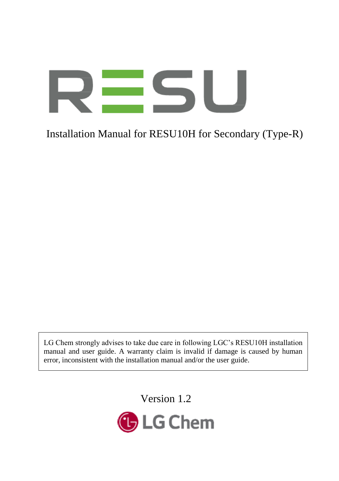# 51

# Installation Manual for RESU10H for Secondary (Type-R)

LG Chem strongly advises to take due care in following LGC's RESU10H installation manual and user guide. A warranty claim is invalid if damage is caused by human error, inconsistent with the installation manual and/or the user guide.

Version 1.2

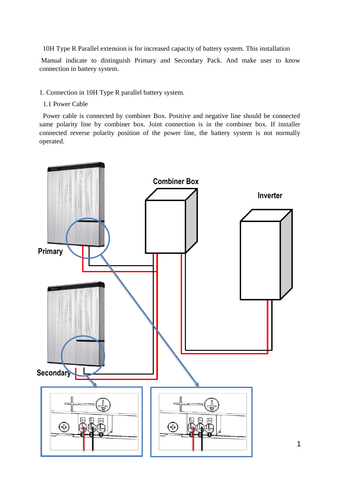10H Type R Parallel extension is for increased capacity of battery system. This installation

Manual indicate to distinguish Primary and Secondary Pack. And make user to know connection in battery system.

- 1. Connection in 10H Type R parallel battery system.
- 1.1 Power Cable

Power cable is connected by combiner Box. Positive and negative line should be connected same polarity line by combiner box. Joint connection is in the combiner box. If installer connected reverse polarity position of the power line, the battery system is not normally operated.

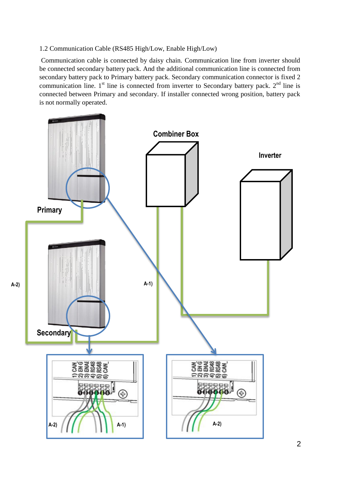#### 1.2 Communication Cable (RS485 High/Low, Enable High/Low)

Communication cable is connected by daisy chain. Communication line from inverter should be connected secondary battery pack. And the additional communication line is connected from secondary battery pack to Primary battery pack. Secondary communication connector is fixed 2 communication line.  $1<sup>st</sup>$  line is connected from inverter to Secondary battery pack.  $2<sup>nd</sup>$  line is connected between Primary and secondary. If installer connected wrong position, battery pack is not normally operated.

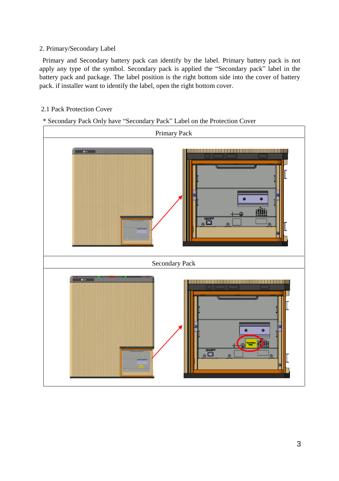#### 2. Primary/Secondary Label

Primary and Secondary battery pack can identify by the label. Primary battery pack is not apply any type of the symbol. Secondary pack is applied the "Secondary pack" label in the battery pack and package. The label position is the right bottom side into the cover of battery pack. if installer want to identify the label, open the right bottom cover.

## 2.1 Pack Protection Cover

# \* Secondary Pack Only have "Secondary Pack" Label on the Protection Cover

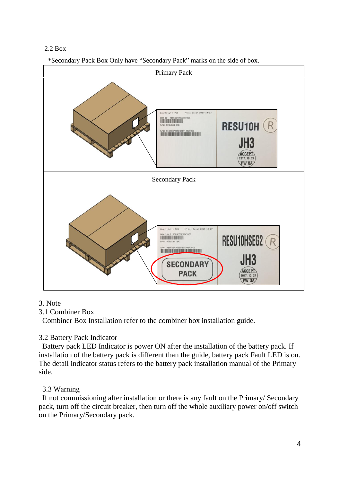### 2.2 Box

\*Secondary Pack Box Only have "Secondary Pack" marks on the side of box.



### 3. Note

3.1 Combiner Box

Combiner Box Installation refer to the combiner box installation guide.

# 3.2 Battery Pack Indicator

Battery pack LED Indicator is power ON after the installation of the battery pack. If installation of the battery pack is different than the guide, battery pack Fault LED is on. The detail indicator status refers to the battery pack installation manual of the Primary side.

# 3.3 Warning

If not commissioning after installation or there is any fault on the Primary/ Secondary pack, turn off the circuit breaker, then turn off the whole auxiliary power on/off switch on the Primary/Secondary pack.